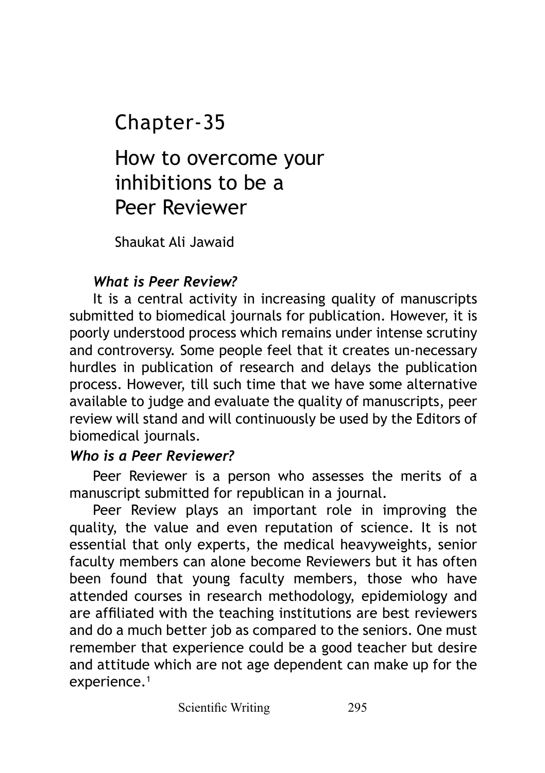## Chapter-35

# How to overcome your inhibitions to be a Peer Reviewer

Shaukat Ali Jawaid

### *What is Peer Review?*

It is a central activity in increasing quality of manuscripts submitted to biomedical journals for publication. However, it is poorly understood process which remains under intense scrutiny and controversy. Some people feel that it creates un-necessary hurdles in publication of research and delays the publication process. However, till such time that we have some alternative available to judge and evaluate the quality of manuscripts, peer review will stand and will continuously be used by the Editors of biomedical journals.

### *Who is a Peer Reviewer?*

Peer Reviewer is a person who assesses the merits of a manuscript submitted for republican in a journal.

Peer Review plays an important role in improving the quality, the value and even reputation of science. It is not essential that only experts, the medical heavyweights, senior faculty members can alone become Reviewers but it has often been found that young faculty members, those who have attended courses in research methodology, epidemiology and are affiliated with the teaching institutions are best reviewers and do a much better job as compared to the seniors. One must remember that experience could be a good teacher but desire and attitude which are not age dependent can make up for the experience.<sup>1</sup>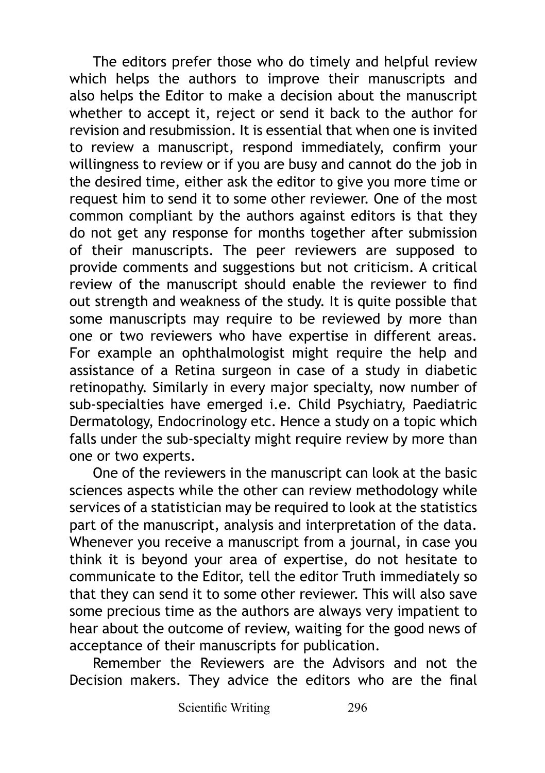The editors prefer those who do timely and helpful review which helps the authors to improve their manuscripts and also helps the Editor to make a decision about the manuscript whether to accept it, reject or send it back to the author for revision and resubmission. It is essential that when one is invited to review a manuscript, respond immediately, confirm your willingness to review or if you are busy and cannot do the job in the desired time, either ask the editor to give you more time or request him to send it to some other reviewer. One of the most common compliant by the authors against editors is that they do not get any response for months together after submission of their manuscripts. The peer reviewers are supposed to provide comments and suggestions but not criticism. A critical review of the manuscript should enable the reviewer to find out strength and weakness of the study. It is quite possible that some manuscripts may require to be reviewed by more than one or two reviewers who have expertise in different areas. For example an ophthalmologist might require the help and assistance of a Retina surgeon in case of a study in diabetic retinopathy. Similarly in every major specialty, now number of sub-specialties have emerged i.e. Child Psychiatry, Paediatric Dermatology, Endocrinology etc. Hence a study on a topic which falls under the sub-specialty might require review by more than one or two experts.

One of the reviewers in the manuscript can look at the basic sciences aspects while the other can review methodology while services of a statistician may be required to look at the statistics part of the manuscript, analysis and interpretation of the data. Whenever you receive a manuscript from a journal, in case you think it is beyond your area of expertise, do not hesitate to communicate to the Editor, tell the editor Truth immediately so that they can send it to some other reviewer. This will also save some precious time as the authors are always very impatient to hear about the outcome of review, waiting for the good news of acceptance of their manuscripts for publication.

Remember the Reviewers are the Advisors and not the Decision makers. They advice the editors who are the final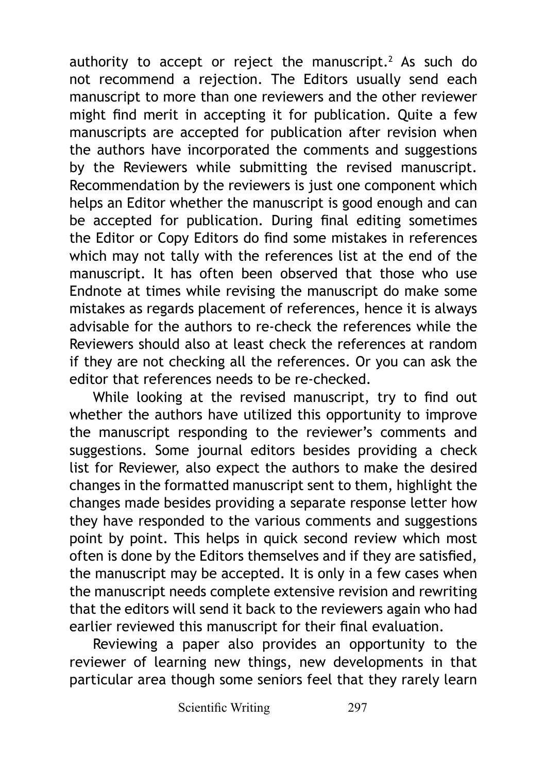authority to accept or reject the manuscript.2 As such do not recommend a rejection. The Editors usually send each manuscript to more than one reviewers and the other reviewer might find merit in accepting it for publication. Quite a few manuscripts are accepted for publication after revision when the authors have incorporated the comments and suggestions by the Reviewers while submitting the revised manuscript. Recommendation by the reviewers is just one component which helps an Editor whether the manuscript is good enough and can be accepted for publication. During final editing sometimes the Editor or Copy Editors do find some mistakes in references which may not tally with the references list at the end of the manuscript. It has often been observed that those who use Endnote at times while revising the manuscript do make some mistakes as regards placement of references, hence it is always advisable for the authors to re-check the references while the Reviewers should also at least check the references at random if they are not checking all the references. Or you can ask the editor that references needs to be re-checked.

While looking at the revised manuscript, try to find out whether the authors have utilized this opportunity to improve the manuscript responding to the reviewer's comments and suggestions. Some journal editors besides providing a check list for Reviewer, also expect the authors to make the desired changes in the formatted manuscript sent to them, highlight the changes made besides providing a separate response letter how they have responded to the various comments and suggestions point by point. This helps in quick second review which most often is done by the Editors themselves and if they are satisfied, the manuscript may be accepted. It is only in a few cases when the manuscript needs complete extensive revision and rewriting that the editors will send it back to the reviewers again who had earlier reviewed this manuscript for their final evaluation.

Reviewing a paper also provides an opportunity to the reviewer of learning new things, new developments in that particular area though some seniors feel that they rarely learn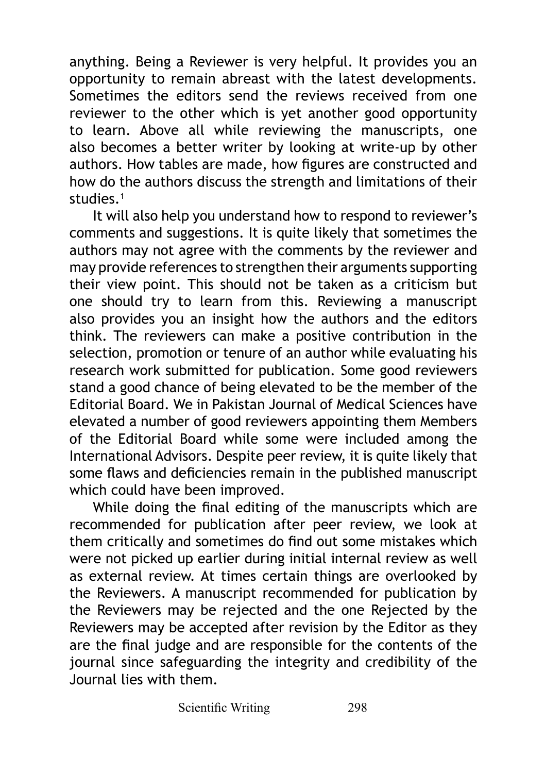anything. Being a Reviewer is very helpful. It provides you an opportunity to remain abreast with the latest developments. Sometimes the editors send the reviews received from one reviewer to the other which is yet another good opportunity to learn. Above all while reviewing the manuscripts, one also becomes a better writer by looking at write-up by other authors. How tables are made, how figures are constructed and how do the authors discuss the strength and limitations of their studies<sup>1</sup>

It will also help you understand how to respond to reviewer's comments and suggestions. It is quite likely that sometimes the authors may not agree with the comments by the reviewer and may provide references to strengthen their arguments supporting their view point. This should not be taken as a criticism but one should try to learn from this. Reviewing a manuscript also provides you an insight how the authors and the editors think. The reviewers can make a positive contribution in the selection, promotion or tenure of an author while evaluating his research work submitted for publication. Some good reviewers stand a good chance of being elevated to be the member of the Editorial Board. We in Pakistan Journal of Medical Sciences have elevated a number of good reviewers appointing them Members of the Editorial Board while some were included among the International Advisors. Despite peer review, it is quite likely that some flaws and deficiencies remain in the published manuscript which could have been improved.

While doing the final editing of the manuscripts which are recommended for publication after peer review, we look at them critically and sometimes do find out some mistakes which were not picked up earlier during initial internal review as well as external review. At times certain things are overlooked by the Reviewers. A manuscript recommended for publication by the Reviewers may be rejected and the one Rejected by the Reviewers may be accepted after revision by the Editor as they are the final judge and are responsible for the contents of the journal since safeguarding the integrity and credibility of the Journal lies with them.